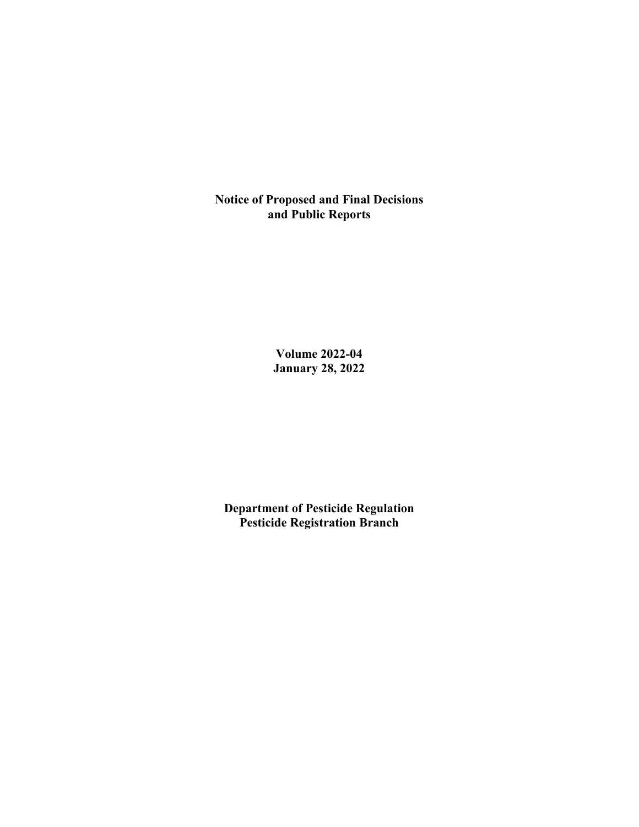**Notice of Proposed and Final Decisions and Public Reports**

> **Volume 2022-04 January 28, 2022**

**Department of Pesticide Regulation Pesticide Registration Branch**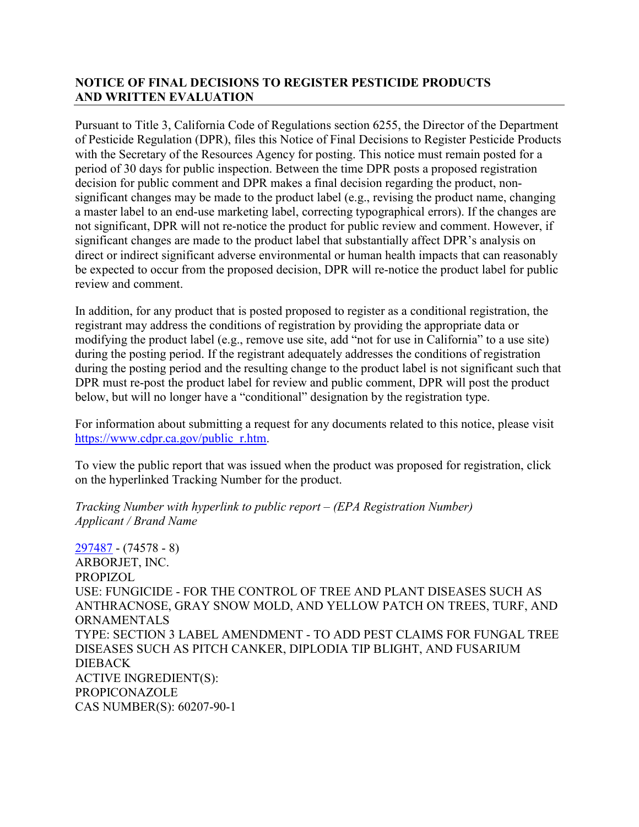## **NOTICE OF FINAL DECISIONS TO REGISTER PESTICIDE PRODUCTS AND WRITTEN EVALUATION**

Pursuant to Title 3, California Code of Regulations section 6255, the Director of the Department of Pesticide Regulation (DPR), files this Notice of Final Decisions to Register Pesticide Products with the Secretary of the Resources Agency for posting. This notice must remain posted for a period of 30 days for public inspection. Between the time DPR posts a proposed registration decision for public comment and DPR makes a final decision regarding the product, nonsignificant changes may be made to the product label (e.g., revising the product name, changing a master label to an end-use marketing label, correcting typographical errors). If the changes are not significant, DPR will not re-notice the product for public review and comment. However, if significant changes are made to the product label that substantially affect DPR's analysis on direct or indirect significant adverse environmental or human health impacts that can reasonably be expected to occur from the proposed decision, DPR will re-notice the product label for public review and comment.

In addition, for any product that is posted proposed to register as a conditional registration, the registrant may address the conditions of registration by providing the appropriate data or modifying the product label (e.g., remove use site, add "not for use in California" to a use site) during the posting period. If the registrant adequately addresses the conditions of registration during the posting period and the resulting change to the product label is not significant such that DPR must re-post the product label for review and public comment, DPR will post the product below, but will no longer have a "conditional" designation by the registration type.

For information about submitting a request for any documents related to this notice, please visit [https://www.cdpr.ca.gov/public\\_r.htm.](https://www.cdpr.ca.gov/public_r.htm)

To view the public report that was issued when the product was proposed for registration, click on the hyperlinked Tracking Number for the product.

*Tracking Number with hyperlink to public report – (EPA Registration Number) Applicant / Brand Name*

[297487](https://www.cdpr.ca.gov/docs/registration/nod/public_reports/297487.pdf) - (74578 - 8) ARBORJET, INC. PROPIZOL USE: FUNGICIDE - FOR THE CONTROL OF TREE AND PLANT DISEASES SUCH AS ANTHRACNOSE, GRAY SNOW MOLD, AND YELLOW PATCH ON TREES, TURF, AND **ORNAMENTALS** TYPE: SECTION 3 LABEL AMENDMENT - TO ADD PEST CLAIMS FOR FUNGAL TREE DISEASES SUCH AS PITCH CANKER, DIPLODIA TIP BLIGHT, AND FUSARIUM DIEBACK ACTIVE INGREDIENT(S): PROPICONAZOLE CAS NUMBER(S): 60207-90-1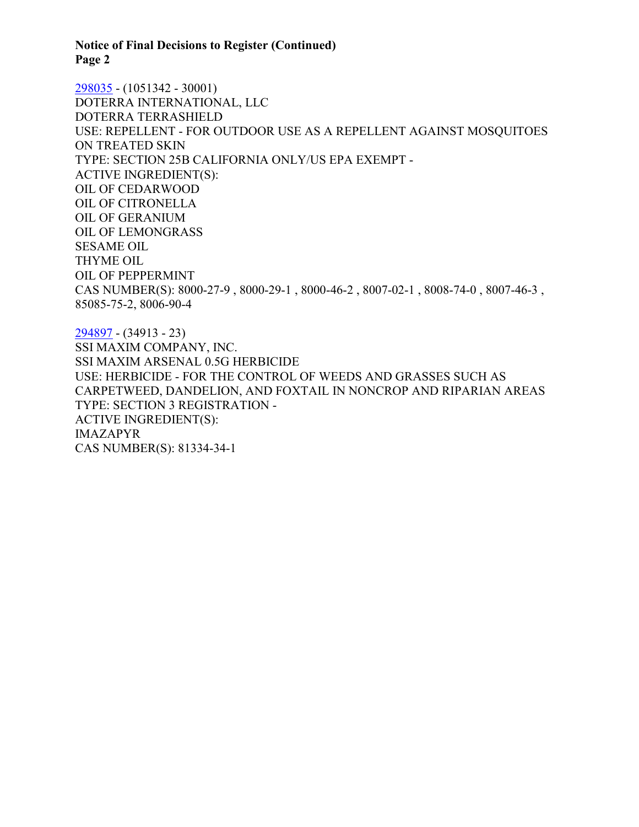#### **Notice of Final Decisions to Register (Continued) Page 2**

[298035](https://www.cdpr.ca.gov/docs/registration/nod/public_reports/298035.pdf) - (1051342 - 30001) DOTERRA INTERNATIONAL, LLC DOTERRA TERRASHIELD USE: REPELLENT - FOR OUTDOOR USE AS A REPELLENT AGAINST MOSQUITOES ON TREATED SKIN TYPE: SECTION 25B CALIFORNIA ONLY/US EPA EXEMPT - ACTIVE INGREDIENT(S): OIL OF CEDARWOOD OIL OF CITRONELLA OIL OF GERANIUM OIL OF LEMONGRASS SESAME OIL THYME OIL OIL OF PEPPERMINT CAS NUMBER(S): 8000-27-9 , 8000-29-1 , 8000-46-2 , 8007-02-1 , 8008-74-0 , 8007-46-3 , 85085-75-2, 8006-90-4

[294897](https://www.cdpr.ca.gov/docs/registration/nod/public_reports/294897.pdf) - (34913 - 23) SSI MAXIM COMPANY, INC. SSI MAXIM ARSENAL 0.5G HERBICIDE USE: HERBICIDE - FOR THE CONTROL OF WEEDS AND GRASSES SUCH AS CARPETWEED, DANDELION, AND FOXTAIL IN NONCROP AND RIPARIAN AREAS TYPE: SECTION 3 REGISTRATION - ACTIVE INGREDIENT(S): IMAZAPYR CAS NUMBER(S): 81334-34-1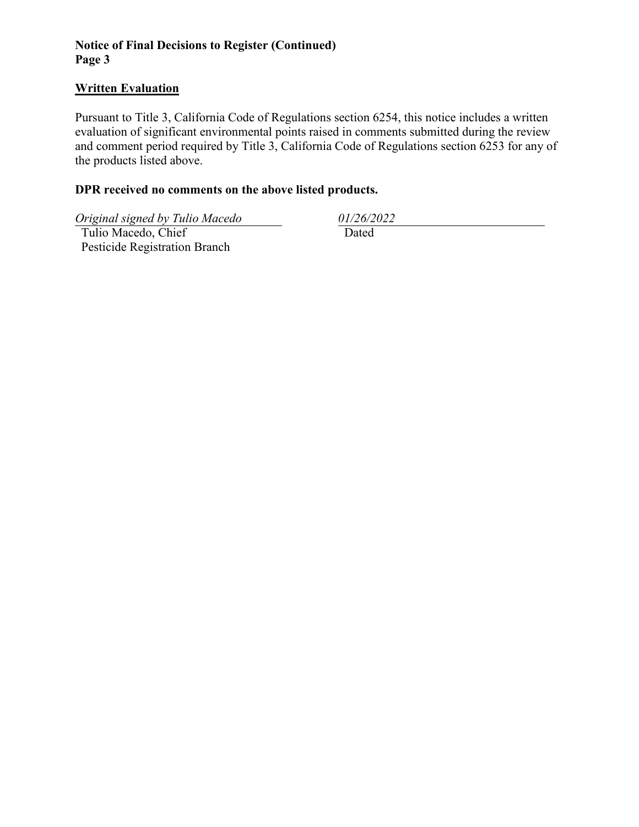## **Notice of Final Decisions to Register (Continued) Page 3**

### **Written Evaluation**

Pursuant to Title 3, California Code of Regulations section 6254, this notice includes a written evaluation of significant environmental points raised in comments submitted during the review and comment period required by Title 3, California Code of Regulations section 6253 for any of the products listed above.

## **DPR received no comments on the above listed products.**

*Original signed by Tulio Macedo 01/26/2022*

 Tulio Macedo, Chief Pesticide Registration Branch

Dated